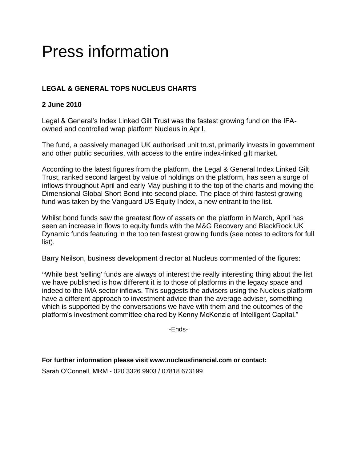# Press information

## **LEGAL & GENERAL TOPS NUCLEUS CHARTS**

## **2 June 2010**

Legal & General's Index Linked Gilt Trust was the fastest growing fund on the IFAowned and controlled wrap platform Nucleus in April.

The fund, a passively managed UK authorised unit trust, primarily invests in government and other public securities, with access to the entire index-linked gilt market.

According to the latest figures from the platform, the Legal & General Index Linked Gilt Trust, ranked second largest by value of holdings on the platform, has seen a surge of inflows throughout April and early May pushing it to the top of the charts and moving the Dimensional Global Short Bond into second place. The place of third fastest growing fund was taken by the Vanguard US Equity Index, a new entrant to the list.

Whilst bond funds saw the greatest flow of assets on the platform in March, April has seen an increase in flows to equity funds with the M&G Recovery and BlackRock UK Dynamic funds featuring in the top ten fastest growing funds (see notes to editors for full list).

Barry Neilson, business development director at Nucleus commented of the figures:

"While best 'selling' funds are always of interest the really interesting thing about the list we have published is how different it is to those of platforms in the legacy space and indeed to the IMA sector inflows. This suggests the advisers using the Nucleus platform have a different approach to investment advice than the average adviser, something which is supported by the conversations we have with them and the outcomes of the platform's investment committee chaired by Kenny McKenzie of Intelligent Capital."

-Ends-

**For further information please visit www.nucleusfinancial.com or contact:**

Sarah O'Connell, MRM - 020 3326 9903 / 07818 673199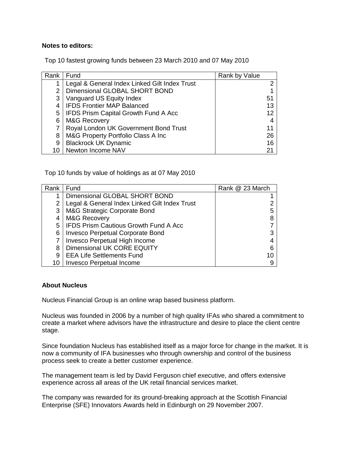#### **Notes to editors:**

Top 10 fastest growing funds between 23 March 2010 and 07 May 2010

| Rank | Fund                                          | Rank by Value |    |
|------|-----------------------------------------------|---------------|----|
|      | Legal & General Index Linked Gilt Index Trust |               |    |
| 2    | Dimensional GLOBAL SHORT BOND                 |               |    |
| 3    | Vanguard US Equity Index                      | 51            |    |
|      | <b>IFDS Frontier MAP Balanced</b>             |               | 13 |
| 5    | <b>IFDS Prism Capital Growth Fund A Acc</b>   |               | 12 |
| 6    | <b>M&amp;G Recovery</b>                       |               |    |
|      | Royal London UK Government Bond Trust         |               | 11 |
| 8    | M&G Property Portfolio Class A Inc            |               | 26 |
| 9    | <b>Blackrock UK Dynamic</b>                   |               | 16 |
| 10   | Newton Income NAV                             | 21            |    |

Top 10 funds by value of holdings as at 07 May 2010

| Rank | Fund                                          | Rank @ 23 March |
|------|-----------------------------------------------|-----------------|
|      | Dimensional GLOBAL SHORT BOND                 |                 |
|      | Legal & General Index Linked Gilt Index Trust |                 |
| 3    | M&G Strategic Corporate Bond                  |                 |
|      | <b>M&amp;G Recovery</b>                       |                 |
|      | <b>IFDS Prism Cautious Growth Fund A Acc</b>  |                 |
| 6    | Invesco Perpetual Corporate Bond              |                 |
|      | Invesco Perpetual High Income                 |                 |
| 8    | Dimensional UK CORE EQUITY                    |                 |
| 9    | <b>EEA Life Settlements Fund</b>              |                 |
| 10   | <b>Invesco Perpetual Income</b>               |                 |

### **About Nucleus**

Nucleus Financial Group is an online wrap based business platform.

Nucleus was founded in 2006 by a number of high quality IFAs who shared a commitment to create a market where advisors have the infrastructure and desire to place the client centre stage.

Since foundation Nucleus has established itself as a major force for change in the market. It is now a community of IFA businesses who through ownership and control of the business process seek to create a better customer experience.

The management team is led by David Ferguson chief executive, and offers extensive experience across all areas of the UK retail financial services market.

The company was rewarded for its ground-breaking approach at the Scottish Financial Enterprise (SFE) Innovators Awards held in Edinburgh on 29 November 2007.